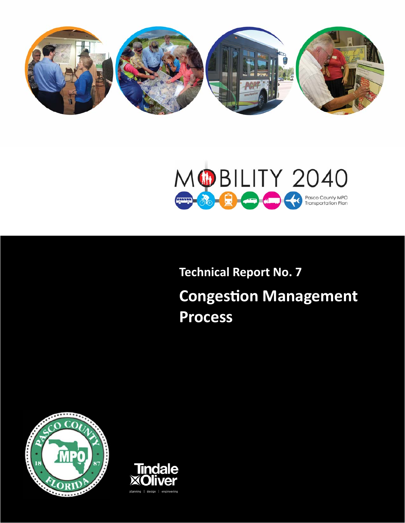



# **Technical Report No. 7 CongesƟon Management Process**



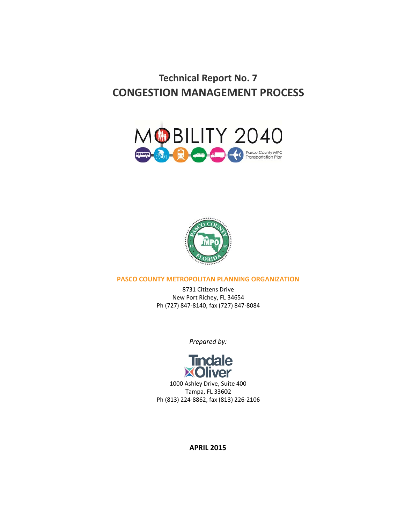# **Technical Report No. 7 CONGESTION MANAGEMENT PROCESS**





PASCO COUNTY METROPOLITAN PLANNING ORGANIZATION

8731 Citizens Drive New Port Richey, FL 34654 Ph (727) 847-8140, fax (727) 847-8084

Prepared by:



1000 Ashley Drive, Suite 400 Tampa, FL 33602 Ph (813) 224-8862, fax (813) 226-2106

**APRIL 2015**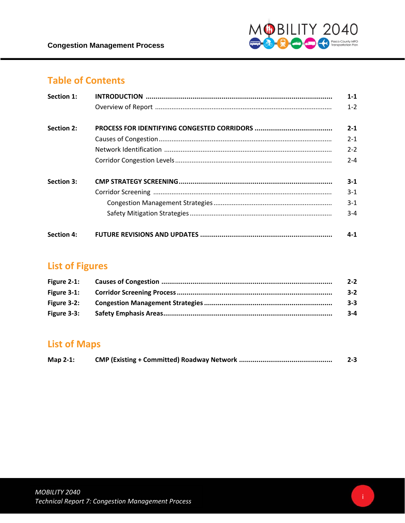

# **Table of Contents**

| Section 1:        |  |         |
|-------------------|--|---------|
|                   |  | $1 - 2$ |
| Section 2:        |  | $2 - 1$ |
|                   |  | $2 - 1$ |
|                   |  | $2 - 2$ |
|                   |  | $2 - 4$ |
| Section 3:        |  | $3-1$   |
|                   |  | $3-1$   |
|                   |  | $3-1$   |
|                   |  | $3 - 4$ |
| <b>Section 4:</b> |  | 4-1     |

# **List of Figures**

| Figure $2-1$ : | $2 - 2$ |
|----------------|---------|
| Figure $3-1$ : | $3-2$   |
| Figure 3-2:    | $3 - 3$ |
| Figure 3-3:    | $3-4$   |

# **List of Maps**

| Map 2-1: |  | $2 - 3$ |
|----------|--|---------|
|----------|--|---------|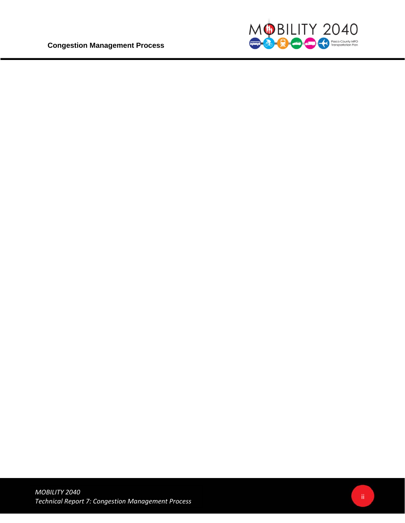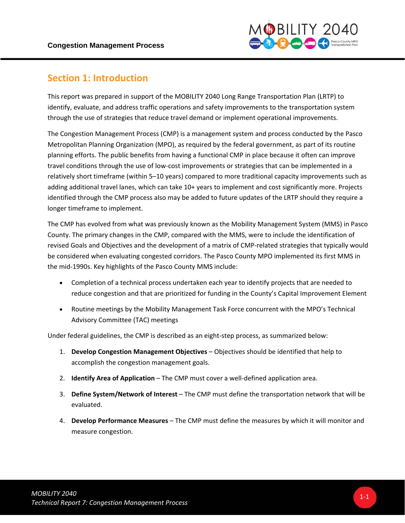

## **Section 1: Introduction**

This report was prepared in support of the MOBILITY 2040 Long Range Transportation Plan (LRTP) to identify, evaluate, and address traffic operations and safety improvements to the transportation system through the use of strategies that reduce travel demand or implement operational improvements.

The Congestion Management Process (CMP) is a management system and process conducted by the Pasco Metropolitan Planning Organization (MPO), as required by the federal government, as part of its routine planning efforts. The public benefits from having a functional CMP in place because it often can improve travel conditions through the use of low‐cost improvements or strategies that can be implemented in a relatively short timeframe (within 5–10 years) compared to more traditional capacity improvements such as adding additional travel lanes, which can take 10+ years to implement and cost significantly more. Projects identified through the CMP process also may be added to future updates of the LRTP should they require a longer timeframe to implement.

The CMP has evolved from what was previously known as the Mobility Management System (MMS) in Pasco County. The primary changes in the CMP, compared with the MMS, were to include the identification of revised Goals and Objectives and the development of a matrix of CMP‐related strategies that typically would be considered when evaluating congested corridors. The Pasco County MPO implemented its first MMS in the mid‐1990s. Key highlights of the Pasco County MMS include:

- Completion of a technical process undertaken each year to identify projects that are needed to reduce congestion and that are prioritized for funding in the County's Capital Improvement Element
- Routine meetings by the Mobility Management Task Force concurrent with the MPO's Technical Advisory Committee (TAC) meetings

Under federal guidelines, the CMP is described as an eight‐step process, as summarized below:

- 1. **Develop Congestion Management Objectives** Objectives should be identified that help to accomplish the congestion management goals.
- 2. **Identify Area of Application** The CMP must cover a well‐defined application area.
- 3. **Define System/Network of Interest** The CMP must define the transportation network that will be evaluated.
- 4. **Develop Performance Measures** The CMP must define the measures by which it will monitor and measure congestion.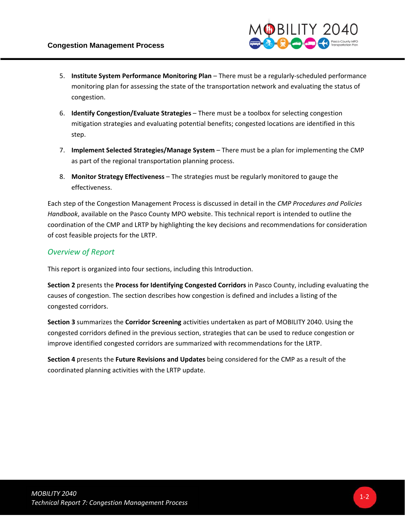

- 5. **Institute System Performance Monitoring Plan** There must be a regularly‐scheduled performance monitoring plan for assessing the state of the transportation network and evaluating the status of congestion.
- 6. **Identify Congestion/Evaluate Strategies** There must be a toolbox for selecting congestion mitigation strategies and evaluating potential benefits; congested locations are identified in this step.
- 7. **Implement Selected Strategies/Manage System** There must be a plan for implementing the CMP as part of the regional transportation planning process.
- 8. **Monitor Strategy Effectiveness** The strategies must be regularly monitored to gauge the effectiveness.

Each step of the Congestion Management Process is discussed in detail in the *CMP Procedures and Policies Handbook*, available on the Pasco County MPO website. This technical report is intended to outline the coordination of the CMP and LRTP by highlighting the key decisions and recommendations for consideration of cost feasible projects for the LRTP.

### *Overview of Report*

This report is organized into four sections, including this Introduction.

**Section 2** presents the **Process for Identifying Congested Corridors** in Pasco County, including evaluating the causes of congestion. The section describes how congestion is defined and includes a listing of the congested corridors.

**Section 3** summarizes the **Corridor Screening** activities undertaken as part of MOBILITY 2040. Using the congested corridors defined in the previous section, strategies that can be used to reduce congestion or improve identified congested corridors are summarized with recommendations for the LRTP.

**Section 4** presents the **Future Revisions and Updates** being considered for the CMP as a result of the coordinated planning activities with the LRTP update.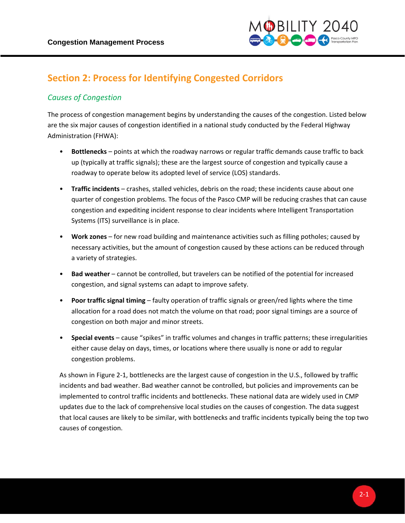

# **Section 2: Process for Identifying Congested Corridors**

## *Causes of Congestion*

The process of congestion management begins by understanding the causes of the congestion. Listed below are the six major causes of congestion identified in a national study conducted by the Federal Highway Administration (FHWA):

- **Bottlenecks** points at which the roadway narrows or regular traffic demands cause traffic to back up (typically at traffic signals); these are the largest source of congestion and typically cause a roadway to operate below its adopted level of service (LOS) standards.
- **Traffic incidents** crashes, stalled vehicles, debris on the road; these incidents cause about one quarter of congestion problems. The focus of the Pasco CMP will be reducing crashes that can cause congestion and expediting incident response to clear incidents where Intelligent Transportation Systems (ITS) surveillance is in place.
- **Work zones** for new road building and maintenance activities such as filling potholes; caused by necessary activities, but the amount of congestion caused by these actions can be reduced through a variety of strategies.
- **Bad weather** cannot be controlled, but travelers can be notified of the potential for increased congestion, and signal systems can adapt to improve safety.
- **Poor traffic signal timing** faulty operation of traffic signals or green/red lights where the time allocation for a road does not match the volume on that road; poor signal timings are a source of congestion on both major and minor streets.
- **Special events** cause "spikes" in traffic volumes and changes in traffic patterns; these irregularities either cause delay on days, times, or locations where there usually is none or add to regular congestion problems.

As shown in Figure 2‐1, bottlenecks are the largest cause of congestion in the U.S., followed by traffic incidents and bad weather. Bad weather cannot be controlled, but policies and improvements can be implemented to control traffic incidents and bottlenecks. These national data are widely used in CMP updates due to the lack of comprehensive local studies on the causes of congestion. The data suggest that local causes are likely to be similar, with bottlenecks and traffic incidents typically being the top two causes of congestion.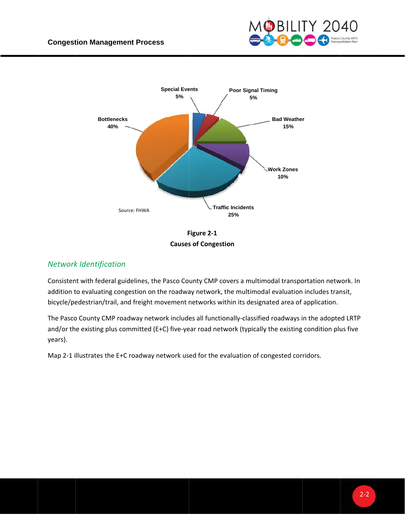



Figure 2-1 **Causes of Congestion** 

## **Network Identification**

Consistent with federal guidelines, the Pasco County CMP covers a multimodal transportation network. In addition to evaluating congestion on the roadway network, the multimodal evaluation includes transit, bicycle/pedestrian/trail, and freight movement networks within its designated area of application.

The Pasco County CMP roadway network includes all functionally-classified roadways in the adopted LRTP and/or the existing plus committed (E+C) five-year road network (typically the existing condition plus five vears).

Map 2-1 illustrates the E+C roadway network used for the evaluation of congested corridors.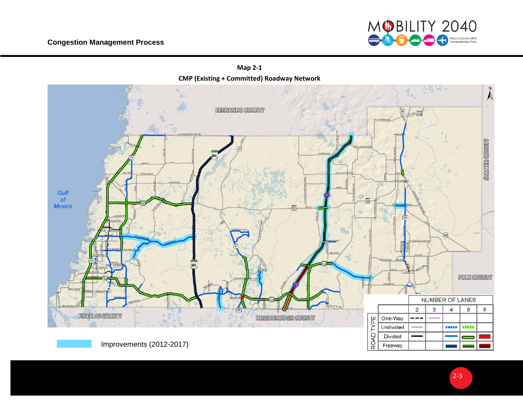

**Map 2‐1 CMP (Existing + Committed) Roadway Network** 

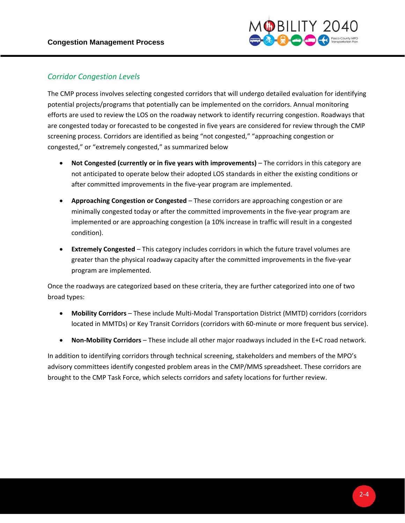

## *Corridor Congestion Levels*

The CMP process involves selecting congested corridors that will undergo detailed evaluation for identifying potential projects/programs that potentially can be implemented on the corridors. Annual monitoring efforts are used to review the LOS on the roadway network to identify recurring congestion. Roadways that are congested today or forecasted to be congested in five years are considered for review through the CMP screening process. Corridors are identified as being "not congested," "approaching congestion or congested," or "extremely congested," as summarized below

- **•** Not Congested (currently or in five years with improvements) The corridors in this category are not anticipated to operate below their adopted LOS standards in either the existing conditions or after committed improvements in the five‐year program are implemented.
- **Approaching Congestion or Congested**  These corridors are approaching congestion or are minimally congested today or after the committed improvements in the five‐year program are implemented or are approaching congestion (a 10% increase in traffic will result in a congested condition).
- **Extremely Congested**  This category includes corridors in which the future travel volumes are greater than the physical roadway capacity after the committed improvements in the five‐year program are implemented.

Once the roadways are categorized based on these criteria, they are further categorized into one of two broad types:

- **Mobility Corridors** These include Multi‐Modal Transportation District (MMTD) corridors (corridors located in MMTDs) or Key Transit Corridors (corridors with 60‐minute or more frequent bus service).
- **Non‐Mobility Corridors** These include all other major roadways included in the E+C road network.

In addition to identifying corridors through technical screening, stakeholders and members of the MPO's advisory committees identify congested problem areas in the CMP/MMS spreadsheet. These corridors are brought to the CMP Task Force, which selects corridors and safety locations for further review.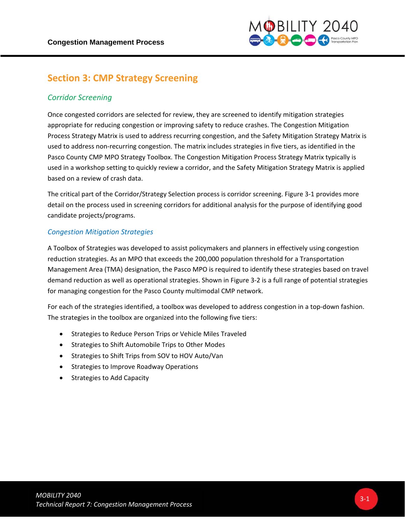

# **Section 3: CMP Strategy Screening**

## *Corridor Screening*

Once congested corridors are selected for review, they are screened to identify mitigation strategies appropriate for reducing congestion or improving safety to reduce crashes. The Congestion Mitigation Process Strategy Matrix is used to address recurring congestion, and the Safety Mitigation Strategy Matrix is used to address non‐recurring congestion. The matrix includes strategies in five tiers, as identified in the Pasco County CMP MPO Strategy Toolbox. The Congestion Mitigation Process Strategy Matrix typically is used in a workshop setting to quickly review a corridor, and the Safety Mitigation Strategy Matrix is applied based on a review of crash data.

The critical part of the Corridor/Strategy Selection process is corridor screening. Figure 3‐1 provides more detail on the process used in screening corridors for additional analysis for the purpose of identifying good candidate projects/programs.

#### *Congestion Mitigation Strategies*

A Toolbox of Strategies was developed to assist policymakers and planners in effectively using congestion reduction strategies. As an MPO that exceeds the 200,000 population threshold for a Transportation Management Area (TMA) designation, the Pasco MPO is required to identify these strategies based on travel demand reduction as well as operational strategies. Shown in Figure 3‐2 is a full range of potential strategies for managing congestion for the Pasco County multimodal CMP network.

For each of the strategies identified, a toolbox was developed to address congestion in a top-down fashion. The strategies in the toolbox are organized into the following five tiers:

- **•** Strategies to Reduce Person Trips or Vehicle Miles Traveled
- **•** Strategies to Shift Automobile Trips to Other Modes
- Strategies to Shift Trips from SOV to HOV Auto/Van
- **•** Strategies to Improve Roadway Operations
- Strategies to Add Capacity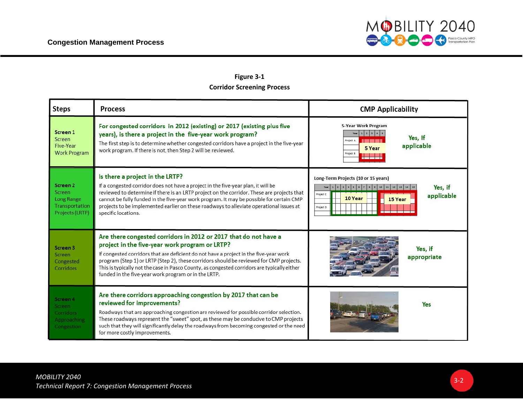

#### **Figure 3‐1**

### **Corridor Screening Process**

| <b>Steps</b>                                                                            | <b>Process</b>                                                                                                                                                                                                                                                                                                                                                                                                                                                | <b>CMP Applicability</b>                                                                                                                  |
|-----------------------------------------------------------------------------------------|---------------------------------------------------------------------------------------------------------------------------------------------------------------------------------------------------------------------------------------------------------------------------------------------------------------------------------------------------------------------------------------------------------------------------------------------------------------|-------------------------------------------------------------------------------------------------------------------------------------------|
| Screen 1<br><b>Screen</b><br>Five-Year<br><b>Work Program</b>                           | For congested corridors in 2012 (existing) or 2017 (existing plus five<br>years), is there a project in the five-year work program?<br>The first step is to determine whether congested corridors have a project in the five-year<br>work program. If there is not, then Step 2 will be reviewed.                                                                                                                                                             | 5-Year Work Program<br>Year 1 2 3 4 5<br>Yes, If<br>Project A<br>applicable<br>5 Year<br>Project B                                        |
| Screen <sub>2</sub><br>Screen<br><b>Long Range</b><br>Transportation<br>Projects (LRTP) | Is there a project in the LRTP?<br>If a congested corridor does not have a project in the five-year plan, it will be<br>reviewed to determine if there is an LRTP project on the corridor. These are projects that<br>cannot be fully funded in the five-year work program. It may be possible for certain CMP<br>projects to be implemented earlier on these roadways to alleviate operational issues at<br>specific locations.                              | Long-Term Projects (10 or 15 years)<br>Yes, if<br>10 11 12 13 14 15<br>Year<br>Project C<br>applicable<br>10 Year<br>15 Year<br>Project D |
| Screen <sub>3</sub><br><b>Screen</b><br>Congested<br>Corridors                          | Are there congested corridors in 2012 or 2017 that do not have a<br>project in the five-year work program or LRTP?<br>If congested corridors that are deficient do not have a project in the five-year work<br>program (Step 1) or LRTP (Step 2), these corridors should be reviewed for CMP projects.<br>This is typically not the case in Pasco County, as congested corridors are typically either<br>funded in the five-year work program or in the LRTP. | Yes, if<br>appropriate                                                                                                                    |
| Screen 4<br>Screen<br>Corridors<br>Approaching<br>Congestion                            | Are there corridors approaching congestion by 2017 that can be<br>reviewed for improvements?<br>Roadways that are approaching congestion are reviewed for possible corridor selection.<br>These roadways represent the "sweet" spot, as these may be conducive to CMP projects<br>such that they will significantly delay the roadways from becoming congested or the need<br>for more costly improvements.                                                   | Yes                                                                                                                                       |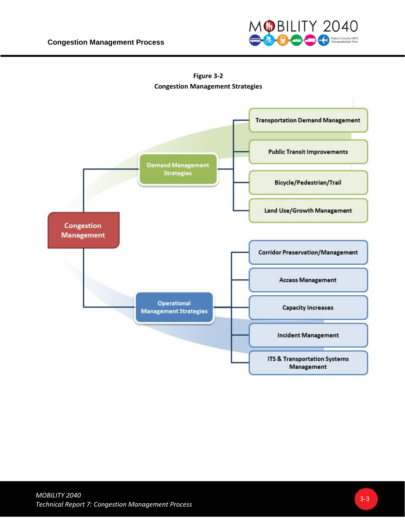

**Figure 3‐2 Congestion Management Strategies** 

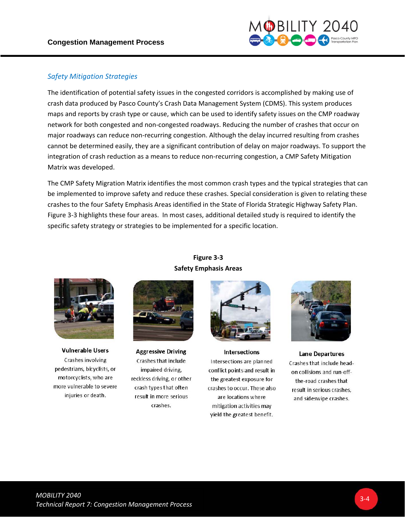

#### *Safety Mitigation Strategies*

The identification of potential safety issues in the congested corridors is accomplished by making use of crash data produced by Pasco County's Crash Data Management System (CDMS). This system produces maps and reports by crash type or cause, which can be used to identify safety issues on the CMP roadway network for both congested and non‐congested roadways. Reducing the number of crashes that occur on major roadways can reduce non‐recurring congestion. Although the delay incurred resulting from crashes cannot be determined easily, they are a significant contribution of delay on major roadways. To support the integration of crash reduction as a means to reduce non-recurring congestion, a CMP Safety Mitigation Matrix was developed.

The CMP Safety Migration Matrix identifies the most common crash types and the typical strategies that can be implemented to improve safety and reduce these crashes. Special consideration is given to relating these crashes to the four Safety Emphasis Areas identified in the State of Florida Strategic Highway Safety Plan. Figure 3‐3 highlights these four areas. In most cases, additional detailed study is required to identify the specific safety strategy or strategies to be implemented for a specific location.

> **Figure 3‐3 Safety Emphasis Areas**



**Vulnerable Users** Crashes involving pedestrians, bicyclists, or motorcyclists, who are more vulnerable to severe injuries or death.



**Aggressive Driving** Crashes that include impaired driving, reckless driving, or other crash types that often result in more serious crashes.



**Intersections** Intersections are planned conflict points and result in the greatest exposure for crashes to occur. These also are locations where mitigation activities may yield the greatest benefit.



**Lane Departures** Crashes that include headon collisions and run-offthe-road crashes that result in serious crashes, and sideswipe crashes.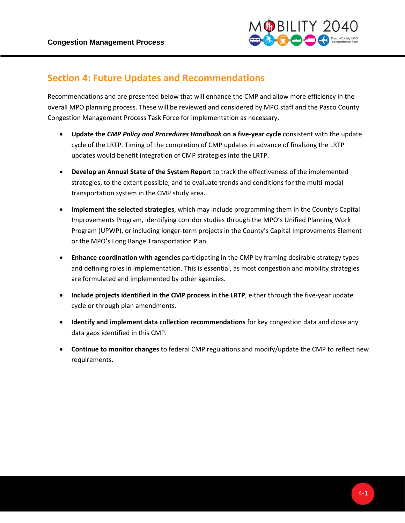

## **Section 4: Future Updates and Recommendations**

Recommendations and are presented below that will enhance the CMP and allow more efficiency in the overall MPO planning process. These will be reviewed and considered by MPO staff and the Pasco County Congestion Management Process Task Force for implementation as necessary.

- **Update the** *CMP Policy and Procedures Handbook* **on a five‐year cycle** consistent with the update cycle of the LRTP. Timing of the completion of CMP updates in advance of finalizing the LRTP updates would benefit integration of CMP strategies into the LRTP.
- **Develop an Annual State of the System Report** to track the effectiveness of the implemented strategies, to the extent possible, and to evaluate trends and conditions for the multi‐modal transportation system in the CMP study area.
- **Implement the selected strategies**, which may include programming them in the County's Capital Improvements Program, identifying corridor studies through the MPO's Unified Planning Work Program (UPWP), or including longer‐term projects in the County's Capital Improvements Element or the MPO's Long Range Transportation Plan.
- **Enhance coordination with agencies** participating in the CMP by framing desirable strategy types and defining roles in implementation. This is essential, as most congestion and mobility strategies are formulated and implemented by other agencies.
- **Include projects identified in the CMP process in the LRTP**, either through the five‐year update cycle or through plan amendments.
- **Identify and implement data collection recommendations** for key congestion data and close any data gaps identified in this CMP.
- **Continue to monitor changes** to federal CMP regulations and modify/update the CMP to reflect new requirements.